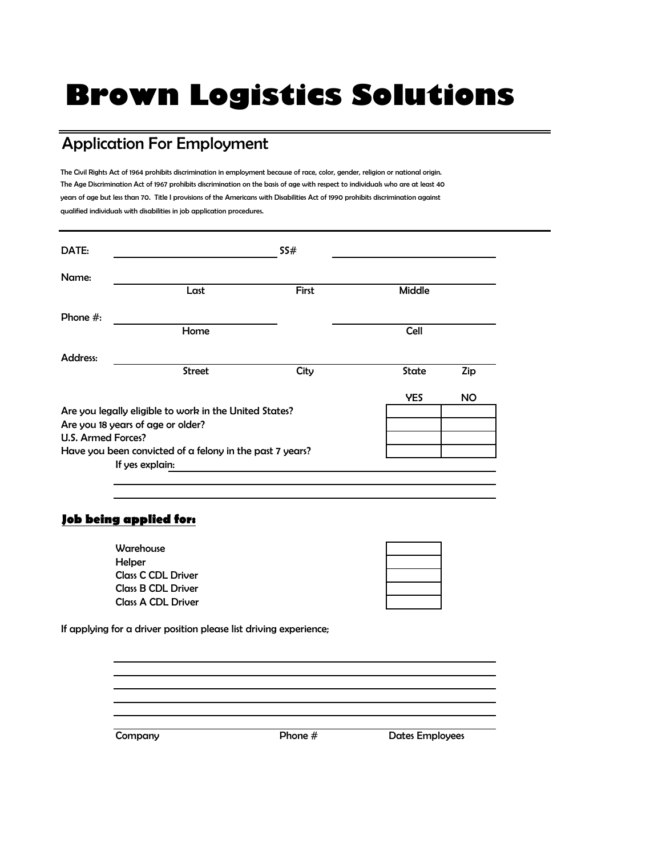# **Brown Logistics Solutions**

## Application For Employment

The Civil Rights Act of 1964 prohibits discrimination in employment because of race, color, gender, religion or national origin. The Age Discrimination Act of 1967 prohibits discrimination on the basis of age with respect to individuals who are at least 40 years of age but less than 70. Title I provisions of the Americans with Disabilities Act of 1990 prohibits discrimination against qualified individuals with disabilities in job application procedures.

| DATE:                                                    |                                                                                             | SS#   |               |           |
|----------------------------------------------------------|---------------------------------------------------------------------------------------------|-------|---------------|-----------|
| Name:                                                    |                                                                                             | First | <b>Middle</b> |           |
|                                                          | Last                                                                                        |       |               |           |
| Phone $#$ :                                              |                                                                                             |       |               |           |
|                                                          | Home                                                                                        |       | <b>Cell</b>   |           |
| Address:                                                 |                                                                                             |       |               |           |
|                                                          | <b>Street</b>                                                                               | City  | State         | Zip       |
|                                                          |                                                                                             |       | <b>YES</b>    | <b>NO</b> |
|                                                          | Are you legally eligible to work in the United States?<br>Are you 18 years of age or older? |       |               |           |
| U.S. Armed Forces?                                       |                                                                                             |       |               |           |
| Have you been convicted of a felony in the past 7 years? |                                                                                             |       |               |           |
| If yes explain:                                          |                                                                                             |       |               |           |

#### **Job being applied for:**

| Warehouse                 |  |
|---------------------------|--|
| Helper                    |  |
| <b>Class C CDL Driver</b> |  |
| <b>Class B CDL Driver</b> |  |
| <b>Class A CDL Driver</b> |  |

If applying for a driver position please list driving experience;

Company **Company** Phone # Dates Employees